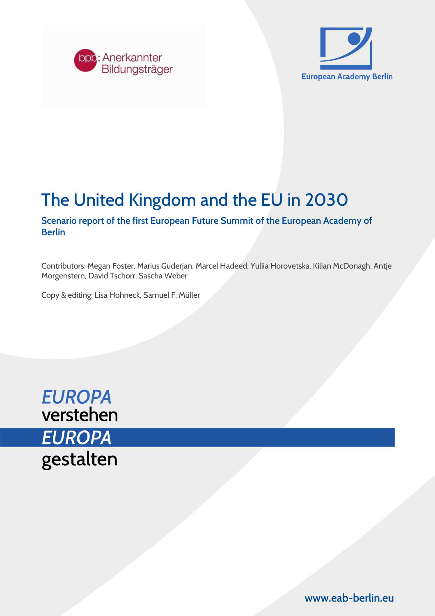



# The United Kingdom and the EU in 2030

Scenario report of the first European Future Summit of the European Academy of Berlin

Contributors: Megan Foster, Marius Guderjan, Marcel Hadeed, Yuliia Horovetska, Kilian McDonagh, Antje Morgenstern, David Tschorr, Sascha Weber

Copy & editing: Lisa Hohneck, Samuel F. Müller



www.eab-berlin.eu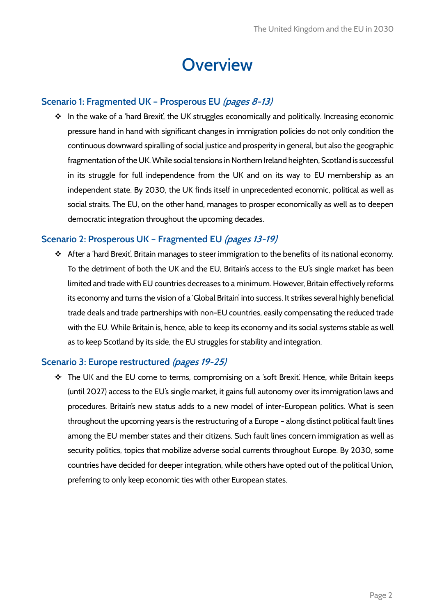# **Overview**

# Scenario 1: Fragmented UK – Prosperous EU (pages 8-13)

\* In the wake of a 'hard Brexit', the UK struggles economically and politically. Increasing economic pressure hand in hand with significant changes in immigration policies do not only condition the continuous downward spiralling of social justice and prosperity in general, but also the geographic fragmentation of the UK. While social tensions in Northern Ireland heighten, Scotland is successful in its struggle for full independence from the UK and on its way to EU membership as an independent state. By 2030, the UK finds itself in unprecedented economic, political as well as social straits. The EU, on the other hand, manages to prosper economically as well as to deepen democratic integration throughout the upcoming decades.

### Scenario 2: Prosperous UK – Fragmented EU (pages 13-19)

 After a 'hard Brexit', Britain manages to steer immigration to the benefits of its national economy. To the detriment of both the UK and the EU, Britain's access to the EU's single market has been limited and trade with EU countries decreases to a minimum. However, Britain effectively reforms its economy and turns the vision of a 'Global Britain' into success. It strikes several highly beneficial trade deals and trade partnerships with non-EU countries, easily compensating the reduced trade with the EU. While Britain is, hence, able to keep its economy and its social systems stable as well as to keep Scotland by its side, the EU struggles for stability and integration.

#### Scenario 3: Europe restructured (pages 19-25)

 $\div$  The UK and the EU come to terms, compromising on a 'soft Brexit'. Hence, while Britain keeps (until 2027) access to the EU's single market, it gains full autonomy over its immigration laws and procedures. Britain's new status adds to a new model of inter-European politics. What is seen throughout the upcoming years is the restructuring of a Europe – along distinct political fault lines among the EU member states and their citizens. Such fault lines concern immigration as well as security politics, topics that mobilize adverse social currents throughout Europe. By 2030, some countries have decided for deeper integration, while others have opted out of the political Union, preferring to only keep economic ties with other European states.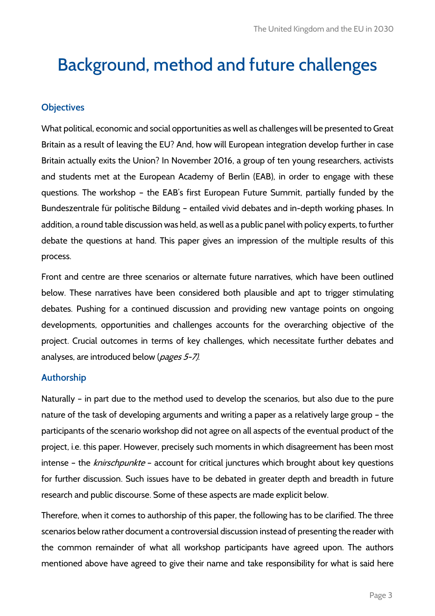# Background, method and future challenges

### **Objectives**

What political, economic and social opportunities as well as challenges will be presented to Great Britain as a result of leaving the EU? And, how will European integration develop further in case Britain actually exits the Union? In November 2016, a group of ten young researchers, activists and students met at the European Academy of Berlin (EAB), in order to engage with these questions. The workshop – the EAB's first European Future Summit, partially funded by the Bundeszentrale für politische Bildung – entailed vivid debates and in-depth working phases. In addition, a round table discussion was held, as well as a public panel with policy experts, to further debate the questions at hand. This paper gives an impression of the multiple results of this process.

Front and centre are three scenarios or alternate future narratives, which have been outlined below. These narratives have been considered both plausible and apt to trigger stimulating debates. Pushing for a continued discussion and providing new vantage points on ongoing developments, opportunities and challenges accounts for the overarching objective of the project. Crucial outcomes in terms of key challenges, which necessitate further debates and analyses, are introduced below (*pages 5-7)*.

#### Authorship

Naturally – in part due to the method used to develop the scenarios, but also due to the pure nature of the task of developing arguments and writing a paper as a relatively large group – the participants of the scenario workshop did not agree on all aspects of the eventual product of the project, i.e. this paper. However, precisely such moments in which disagreement has been most intense - the knirschpunkte - account for critical junctures which brought about key questions for further discussion. Such issues have to be debated in greater depth and breadth in future research and public discourse. Some of these aspects are made explicit below.

Therefore, when it comes to authorship of this paper, the following has to be clarified. The three scenarios below rather document a controversial discussion instead of presenting the reader with the common remainder of what all workshop participants have agreed upon. The authors mentioned above have agreed to give their name and take responsibility for what is said here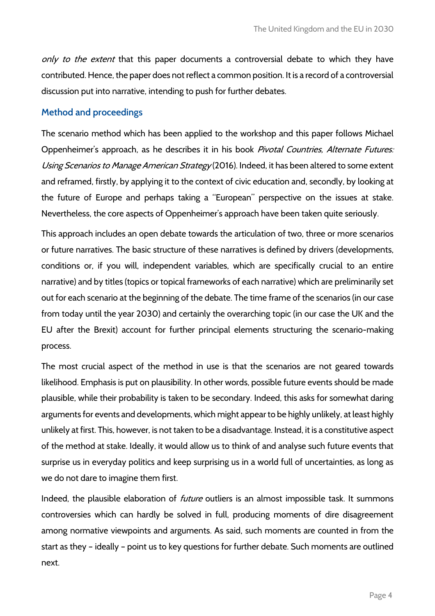only to the extent that this paper documents a controversial debate to which they have contributed. Hence, the paper does not reflect a common position. It is a record of a controversial discussion put into narrative, intending to push for further debates.

#### Method and proceedings

The scenario method which has been applied to the workshop and this paper follows Michael Oppenheimer's approach, as he describes it in his book Pivotal Countries, Alternate Futures: Using Scenarios to Manage American Strategy (2016). Indeed, it has been altered to some extent and reframed, firstly, by applying it to the context of civic education and, secondly, by looking at the future of Europe and perhaps taking a "European" perspective on the issues at stake. Nevertheless, the core aspects of Oppenheimer's approach have been taken quite seriously.

This approach includes an open debate towards the articulation of two, three or more scenarios or future narratives. The basic structure of these narratives is defined by drivers (developments, conditions or, if you will, independent variables, which are specifically crucial to an entire narrative) and by titles (topics or topical frameworks of each narrative) which are preliminarily set out for each scenario at the beginning of the debate. The time frame of the scenarios (in our case from today until the year 2030) and certainly the overarching topic (in our case the UK and the EU after the Brexit) account for further principal elements structuring the scenario-making process.

The most crucial aspect of the method in use is that the scenarios are not geared towards likelihood. Emphasis is put on plausibility. In other words, possible future events should be made plausible, while their probability is taken to be secondary. Indeed, this asks for somewhat daring arguments for events and developments, which might appear to be highly unlikely, at least highly unlikely at first. This, however, is not taken to be a disadvantage. Instead, it is a constitutive aspect of the method at stake. Ideally, it would allow us to think of and analyse such future events that surprise us in everyday politics and keep surprising us in a world full of uncertainties, as long as we do not dare to imagine them first.

Indeed, the plausible elaboration of *future* outliers is an almost impossible task. It summons controversies which can hardly be solved in full, producing moments of dire disagreement among normative viewpoints and arguments. As said, such moments are counted in from the start as they – ideally – point us to key questions for further debate. Such moments are outlined next.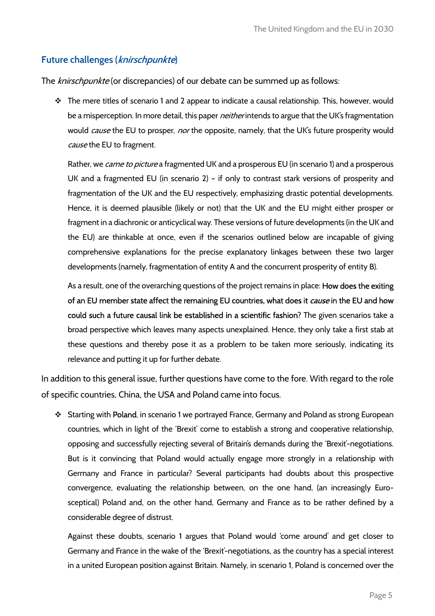# Future challenges (knirschpunkte)

The knirschpunkte (or discrepancies) of our debate can be summed up as follows:

\* The mere titles of scenario 1 and 2 appear to indicate a causal relationship. This, however, would be a misperception. In more detail, this paper *neither* intends to argue that the UK's fragmentation would *cause* the EU to prosper, *nor* the opposite, namely, that the UK's future prosperity would cause the EU to fragment.

Rather, we *came to picture* a fragmented UK and a prosperous EU (in scenario 1) and a prosperous UK and a fragmented EU (in scenario 2) – if only to contrast stark versions of prosperity and fragmentation of the UK and the EU respectively, emphasizing drastic potential developments. Hence, it is deemed plausible (likely or not) that the UK and the EU might either prosper or fragment in a diachronic or anticyclical way. These versions of future developments (in the UK and the EU) are thinkable at once, even if the scenarios outlined below are incapable of giving comprehensive explanations for the precise explanatory linkages between these two larger developments (namely, fragmentation of entity A and the concurrent prosperity of entity B).

As a result, one of the overarching questions of the project remains in place: How does the exiting of an EU member state affect the remaining EU countries, what does it *cause* in the EU and how could such a future causal link be established in a scientific fashion? The given scenarios take a broad perspective which leaves many aspects unexplained. Hence, they only take a first stab at these questions and thereby pose it as a problem to be taken more seriously, indicating its relevance and putting it up for further debate.

In addition to this general issue, further questions have come to the fore. With regard to the role of specific countries, China, the USA and Poland came into focus.

Starting with Poland, in scenario 1 we portrayed France, Germany and Poland as strong European countries, which in light of the 'Brexit' come to establish a strong and cooperative relationship, opposing and successfully rejecting several of Britain's demands during the 'Brexit'-negotiations. But is it convincing that Poland would actually engage more strongly in a relationship with Germany and France in particular? Several participants had doubts about this prospective convergence, evaluating the relationship between, on the one hand, (an increasingly Eurosceptical) Poland and, on the other hand, Germany and France as to be rather defined by a considerable degree of distrust.

Against these doubts, scenario 1 argues that Poland would 'come around' and get closer to Germany and France in the wake of the 'Brexit'-negotiations, as the country has a special interest in a united European position against Britain. Namely, in scenario 1, Poland is concerned over the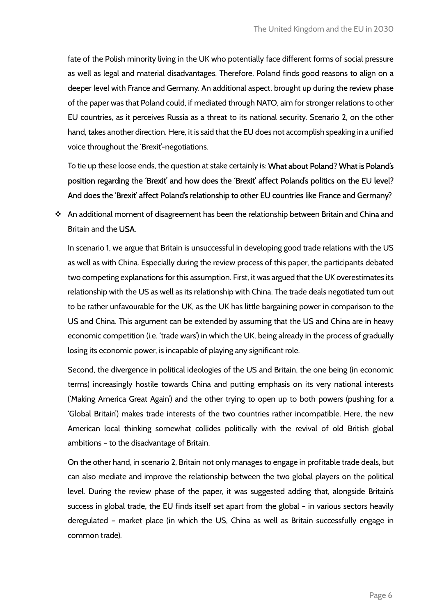fate of the Polish minority living in the UK who potentially face different forms of social pressure as well as legal and material disadvantages. Therefore, Poland finds good reasons to align on a deeper level with France and Germany. An additional aspect, brought up during the review phase of the paper was that Poland could, if mediated through NATO, aim for stronger relations to other EU countries, as it perceives Russia as a threat to its national security. Scenario 2, on the other hand, takes another direction. Here, it is said that the EU does not accomplish speaking in a unified voice throughout the 'Brexit'-negotiations.

To tie up these loose ends, the question at stake certainly is: What about Poland? What is Poland's position regarding the 'Brexit' and how does the 'Brexit' affect Poland's politics on the EU level? And does the 'Brexit' affect Poland's relationship to other EU countries like France and Germany?

\* An additional moment of disagreement has been the relationship between Britain and China and Britain and the USA.

In scenario 1, we argue that Britain is unsuccessful in developing good trade relations with the US as well as with China. Especially during the review process of this paper, the participants debated two competing explanations for this assumption. First, it was argued that the UK overestimates its relationship with the US as well as its relationship with China. The trade deals negotiated turn out to be rather unfavourable for the UK, as the UK has little bargaining power in comparison to the US and China. This argument can be extended by assuming that the US and China are in heavy economic competition (i.e. 'trade wars') in which the UK, being already in the process of gradually losing its economic power, is incapable of playing any significant role.

Second, the divergence in political ideologies of the US and Britain, the one being (in economic terms) increasingly hostile towards China and putting emphasis on its very national interests ('Making America Great Again') and the other trying to open up to both powers (pushing for a 'Global Britain') makes trade interests of the two countries rather incompatible. Here, the new American local thinking somewhat collides politically with the revival of old British global ambitions – to the disadvantage of Britain.

On the other hand, in scenario 2, Britain not only manages to engage in profitable trade deals, but can also mediate and improve the relationship between the two global players on the political level. During the review phase of the paper, it was suggested adding that, alongside Britain's success in global trade, the EU finds itself set apart from the global – in various sectors heavily deregulated – market place (in which the US, China as well as Britain successfully engage in common trade).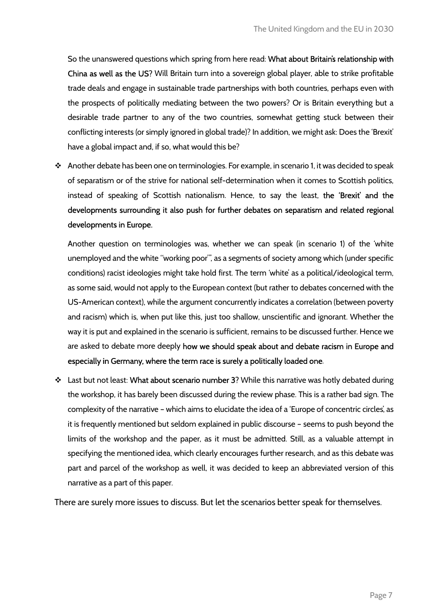So the unanswered questions which spring from here read: What about Britain's relationship with China as well as the US? Will Britain turn into a sovereign global player, able to strike profitable trade deals and engage in sustainable trade partnerships with both countries, perhaps even with the prospects of politically mediating between the two powers? Or is Britain everything but a desirable trade partner to any of the two countries, somewhat getting stuck between their conflicting interests (or simply ignored in global trade)? In addition, we might ask: Does the 'Brexit' have a global impact and, if so, what would this be?

 Another debate has been one on terminologies. For example, in scenario 1, it was decided to speak of separatism or of the strive for national self-determination when it comes to Scottish politics, instead of speaking of Scottish nationalism. Hence, to say the least, the 'Brexit' and the developments surrounding it also push for further debates on separatism and related regional developments in Europe.

Another question on terminologies was, whether we can speak (in scenario 1) of the 'white unemployed and the white "working poor"', as a segments of society among which (under specific conditions) racist ideologies might take hold first. The term 'white' as a political/ideological term, as some said, would not apply to the European context (but rather to debates concerned with the US-American context), while the argument concurrently indicates a correlation (between poverty and racism) which is, when put like this, just too shallow, unscientific and ignorant. Whether the way it is put and explained in the scenario is sufficient, remains to be discussed further. Hence we are asked to debate more deeply how we should speak about and debate racism in Europe and especially in Germany, where the term race is surely a politically loaded one.

\* Last but not least: What about scenario number 3? While this narrative was hotly debated during the workshop, it has barely been discussed during the review phase. This is a rather bad sign. The complexity of the narrative – which aims to elucidate the idea of a 'Europe of concentric circles', as it is frequently mentioned but seldom explained in public discourse – seems to push beyond the limits of the workshop and the paper, as it must be admitted. Still, as a valuable attempt in specifying the mentioned idea, which clearly encourages further research, and as this debate was part and parcel of the workshop as well, it was decided to keep an abbreviated version of this narrative as a part of this paper.

There are surely more issues to discuss. But let the scenarios better speak for themselves.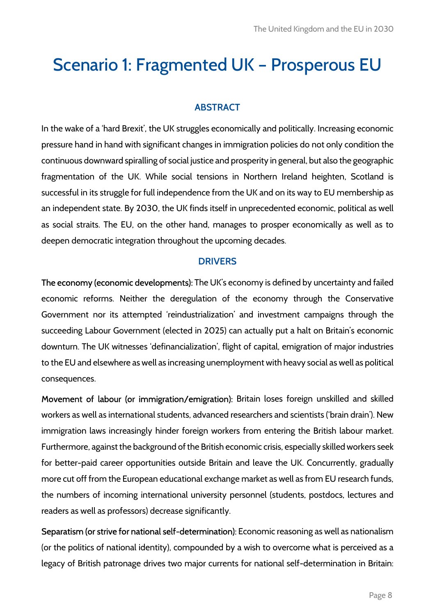# Scenario 1: Fragmented UK – Prosperous EU

# ABSTRACT

In the wake of a 'hard Brexit', the UK struggles economically and politically. Increasing economic pressure hand in hand with significant changes in immigration policies do not only condition the continuous downward spiralling of social justice and prosperity in general, but also the geographic fragmentation of the UK. While social tensions in Northern Ireland heighten, Scotland is successful in its struggle for full independence from the UK and on its way to EU membership as an independent state. By 2030, the UK finds itself in unprecedented economic, political as well as social straits. The EU, on the other hand, manages to prosper economically as well as to deepen democratic integration throughout the upcoming decades.

#### **DRIVERS**

The economy (economic developments): The UK's economy is defined by uncertainty and failed economic reforms. Neither the deregulation of the economy through the Conservative Government nor its attempted 'reindustrialization' and investment campaigns through the succeeding Labour Government (elected in 2025) can actually put a halt on Britain's economic downturn. The UK witnesses 'definancialization', flight of capital, emigration of major industries to the EU and elsewhere as well as increasing unemployment with heavy social as well as political consequences.

Movement of labour (or immigration/emigration): Britain loses foreign unskilled and skilled workers as well as international students, advanced researchers and scientists ('brain drain'). New immigration laws increasingly hinder foreign workers from entering the British labour market. Furthermore, against the background of the British economic crisis, especially skilled workers seek for better-paid career opportunities outside Britain and leave the UK. Concurrently, gradually more cut off from the European educational exchange market as well as from EU research funds, the numbers of incoming international university personnel (students, postdocs, lectures and readers as well as professors) decrease significantly.

Separatism (or strive for national self-determination): Economic reasoning as well as nationalism (or the politics of national identity), compounded by a wish to overcome what is perceived as a legacy of British patronage drives two major currents for national self-determination in Britain: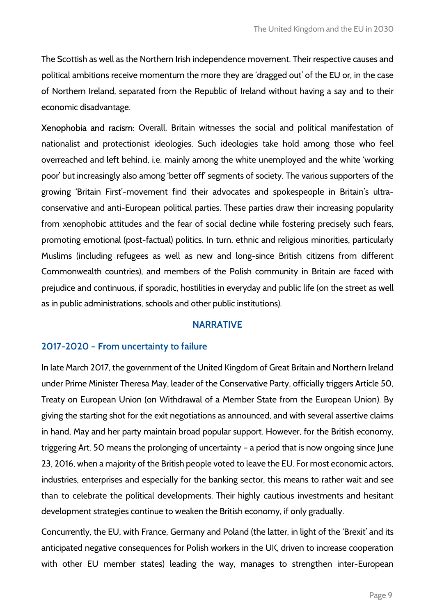The Scottish as well as the Northern Irish independence movement. Their respective causes and political ambitions receive momentum the more they are 'dragged out' of the EU or, in the case of Northern Ireland, separated from the Republic of Ireland without having a say and to their economic disadvantage.

Xenophobia and racism: Overall, Britain witnesses the social and political manifestation of nationalist and protectionist ideologies. Such ideologies take hold among those who feel overreached and left behind, i.e. mainly among the white unemployed and the white 'working poor' but increasingly also among 'better off' segments of society. The various supporters of the growing 'Britain First'-movement find their advocates and spokespeople in Britain's ultraconservative and anti-European political parties. These parties draw their increasing popularity from xenophobic attitudes and the fear of social decline while fostering precisely such fears, promoting emotional (post-factual) politics. In turn, ethnic and religious minorities, particularly Muslims (including refugees as well as new and long-since British citizens from different Commonwealth countries), and members of the Polish community in Britain are faced with prejudice and continuous, if sporadic, hostilities in everyday and public life (on the street as well as in public administrations, schools and other public institutions).

#### NARRATIVE

#### 2017-2020 – From uncertainty to failure

In late March 2017, the government of the United Kingdom of Great Britain and Northern Ireland under Prime Minister Theresa May, leader of the Conservative Party, officially triggers Article 50, Treaty on European Union (on Withdrawal of a Member State from the European Union). By giving the starting shot for the exit negotiations as announced, and with several assertive claims in hand, May and her party maintain broad popular support. However, for the British economy, triggering Art. 50 means the prolonging of uncertainty – a period that is now ongoing since June 23, 2016, when a majority of the British people voted to leave the EU. For most economic actors, industries, enterprises and especially for the banking sector, this means to rather wait and see than to celebrate the political developments. Their highly cautious investments and hesitant development strategies continue to weaken the British economy, if only gradually.

Concurrently, the EU, with France, Germany and Poland (the latter, in light of the 'Brexit' and its anticipated negative consequences for Polish workers in the UK, driven to increase cooperation with other EU member states) leading the way, manages to strengthen inter-European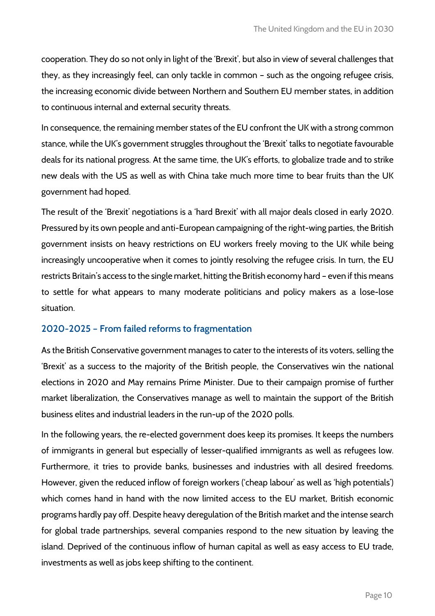cooperation. They do so not only in light of the 'Brexit', but also in view of several challenges that they, as they increasingly feel, can only tackle in common – such as the ongoing refugee crisis, the increasing economic divide between Northern and Southern EU member states, in addition to continuous internal and external security threats.

In consequence, the remaining member states of the EU confront the UK with a strong common stance, while the UK's government struggles throughout the 'Brexit' talks to negotiate favourable deals for its national progress. At the same time, the UK's efforts, to globalize trade and to strike new deals with the US as well as with China take much more time to bear fruits than the UK government had hoped.

The result of the 'Brexit' negotiations is a 'hard Brexit' with all major deals closed in early 2020. Pressured by its own people and anti-European campaigning of the right-wing parties, the British government insists on heavy restrictions on EU workers freely moving to the UK while being increasingly uncooperative when it comes to jointly resolving the refugee crisis. In turn, the EU restricts Britain's access to the single market, hitting the British economy hard – even if this means to settle for what appears to many moderate politicians and policy makers as a lose-lose situation.

# 2020-2025 – From failed reforms to fragmentation

As the British Conservative government manages to cater to the interests of its voters, selling the 'Brexit' as a success to the majority of the British people, the Conservatives win the national elections in 2020 and May remains Prime Minister. Due to their campaign promise of further market liberalization, the Conservatives manage as well to maintain the support of the British business elites and industrial leaders in the run-up of the 2020 polls.

In the following years, the re-elected government does keep its promises. It keeps the numbers of immigrants in general but especially of lesser-qualified immigrants as well as refugees low. Furthermore, it tries to provide banks, businesses and industries with all desired freedoms. However, given the reduced inflow of foreign workers ('cheap labour' as well as 'high potentials') which comes hand in hand with the now limited access to the EU market, British economic programs hardly pay off. Despite heavy deregulation of the British market and the intense search for global trade partnerships, several companies respond to the new situation by leaving the island. Deprived of the continuous inflow of human capital as well as easy access to EU trade, investments as well as jobs keep shifting to the continent.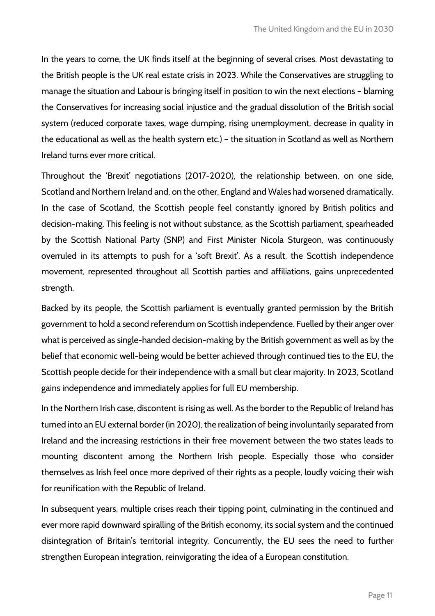In the years to come, the UK finds itself at the beginning of several crises. Most devastating to the British people is the UK real estate crisis in 2023. While the Conservatives are struggling to manage the situation and Labour is bringing itself in position to win the next elections – blaming the Conservatives for increasing social injustice and the gradual dissolution of the British social system (reduced corporate taxes, wage dumping, rising unemployment, decrease in quality in the educational as well as the health system etc.) – the situation in Scotland as well as Northern Ireland turns ever more critical.

Throughout the 'Brexit' negotiations (2017-2020), the relationship between, on one side, Scotland and Northern Ireland and, on the other, England and Wales had worsened dramatically. In the case of Scotland, the Scottish people feel constantly ignored by British politics and decision-making. This feeling is not without substance, as the Scottish parliament, spearheaded by the Scottish National Party (SNP) and First Minister Nicola Sturgeon, was continuously overruled in its attempts to push for a 'soft Brexit'. As a result, the Scottish independence movement, represented throughout all Scottish parties and affiliations, gains unprecedented strength.

Backed by its people, the Scottish parliament is eventually granted permission by the British government to hold a second referendum on Scottish independence. Fuelled by their anger over what is perceived as single-handed decision-making by the British government as well as by the belief that economic well-being would be better achieved through continued ties to the EU, the Scottish people decide for their independence with a small but clear majority. In 2023, Scotland gains independence and immediately applies for full EU membership.

In the Northern Irish case, discontent is rising as well. As the border to the Republic of Ireland has turned into an EU external border (in 2020), the realization of being involuntarily separated from Ireland and the increasing restrictions in their free movement between the two states leads to mounting discontent among the Northern Irish people. Especially those who consider themselves as Irish feel once more deprived of their rights as a people, loudly voicing their wish for reunification with the Republic of Ireland.

In subsequent years, multiple crises reach their tipping point, culminating in the continued and ever more rapid downward spiralling of the British economy, its social system and the continued disintegration of Britain's territorial integrity. Concurrently, the EU sees the need to further strengthen European integration, reinvigorating the idea of a European constitution.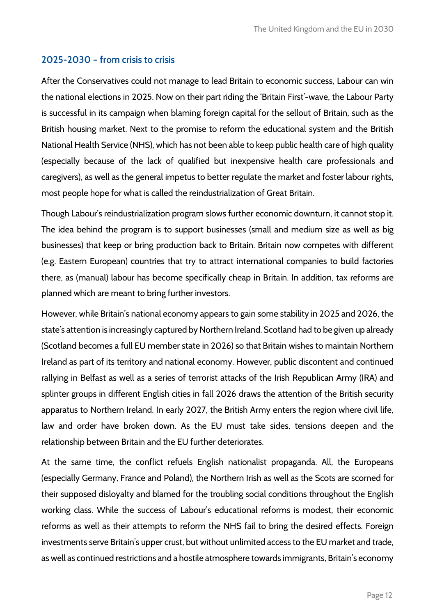# 2025-2030 – from crisis to crisis

After the Conservatives could not manage to lead Britain to economic success, Labour can win the national elections in 2025. Now on their part riding the 'Britain First'-wave, the Labour Party is successful in its campaign when blaming foreign capital for the sellout of Britain, such as the British housing market. Next to the promise to reform the educational system and the British National Health Service (NHS), which has not been able to keep public health care of high quality (especially because of the lack of qualified but inexpensive health care professionals and caregivers), as well as the general impetus to better regulate the market and foster labour rights, most people hope for what is called the reindustrialization of Great Britain.

Though Labour's reindustrialization program slows further economic downturn, it cannot stop it. The idea behind the program is to support businesses (small and medium size as well as big businesses) that keep or bring production back to Britain. Britain now competes with different (e.g. Eastern European) countries that try to attract international companies to build factories there, as (manual) labour has become specifically cheap in Britain. In addition, tax reforms are planned which are meant to bring further investors.

However, while Britain's national economy appears to gain some stability in 2025 and 2026, the state's attention is increasingly captured by Northern Ireland. Scotland had to be given up already (Scotland becomes a full EU member state in 2026) so that Britain wishes to maintain Northern Ireland as part of its territory and national economy. However, public discontent and continued rallying in Belfast as well as a series of terrorist attacks of the Irish Republican Army (IRA) and splinter groups in different English cities in fall 2026 draws the attention of the British security apparatus to Northern Ireland. In early 2027, the British Army enters the region where civil life, law and order have broken down. As the EU must take sides, tensions deepen and the relationship between Britain and the EU further deteriorates.

At the same time, the conflict refuels English nationalist propaganda. All, the Europeans (especially Germany, France and Poland), the Northern Irish as well as the Scots are scorned for their supposed disloyalty and blamed for the troubling social conditions throughout the English working class. While the success of Labour's educational reforms is modest, their economic reforms as well as their attempts to reform the NHS fail to bring the desired effects. Foreign investments serve Britain's upper crust, but without unlimited access to the EU market and trade, as well as continued restrictions and a hostile atmosphere towards immigrants, Britain's economy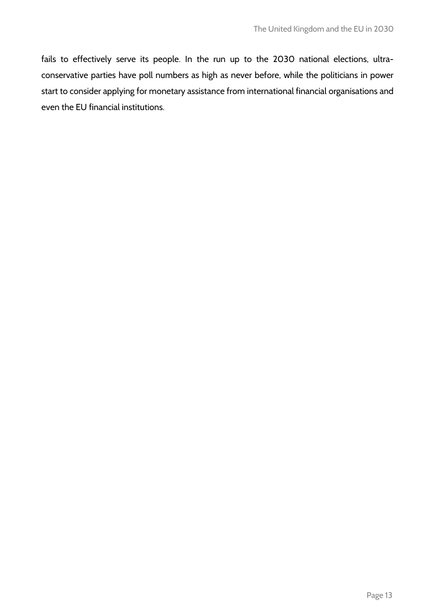fails to effectively serve its people. In the run up to the 2030 national elections, ultraconservative parties have poll numbers as high as never before, while the politicians in power start to consider applying for monetary assistance from international financial organisations and even the EU financial institutions.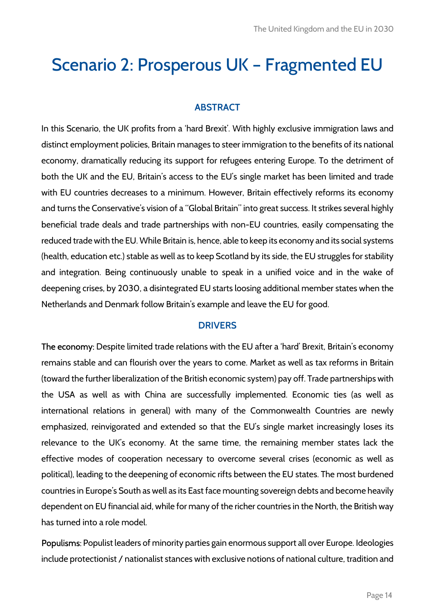# Scenario 2: Prosperous UK – Fragmented EU

### ABSTRACT

In this Scenario, the UK profits from a 'hard Brexit'. With highly exclusive immigration laws and distinct employment policies, Britain manages to steer immigration to the benefits of its national economy, dramatically reducing its support for refugees entering Europe. To the detriment of both the UK and the EU, Britain's access to the EU's single market has been limited and trade with EU countries decreases to a minimum. However, Britain effectively reforms its economy and turns the Conservative's vision of a "Global Britain" into great success. It strikes several highly beneficial trade deals and trade partnerships with non-EU countries, easily compensating the reduced trade with the EU. While Britain is, hence, able to keep its economy and its social systems (health, education etc.) stable as well as to keep Scotland by its side, the EU struggles for stability and integration. Being continuously unable to speak in a unified voice and in the wake of deepening crises, by 2030, a disintegrated EU starts loosing additional member states when the Netherlands and Denmark follow Britain's example and leave the EU for good.

#### **DRIVERS**

The economy: Despite limited trade relations with the EU after a 'hard' Brexit, Britain's economy remains stable and can flourish over the years to come. Market as well as tax reforms in Britain (toward the further liberalization of the British economic system) pay off. Trade partnerships with the USA as well as with China are successfully implemented. Economic ties (as well as international relations in general) with many of the Commonwealth Countries are newly emphasized, reinvigorated and extended so that the EU's single market increasingly loses its relevance to the UK's economy. At the same time, the remaining member states lack the effective modes of cooperation necessary to overcome several crises (economic as well as political), leading to the deepening of economic rifts between the EU states. The most burdened countries in Europe's South as well as its East face mounting sovereign debts and become heavily dependent on EU financial aid, while for many of the richer countries in the North, the British way has turned into a role model.

Populisms: Populist leaders of minority parties gain enormous support all over Europe. Ideologies include protectionist / nationalist stances with exclusive notions of national culture, tradition and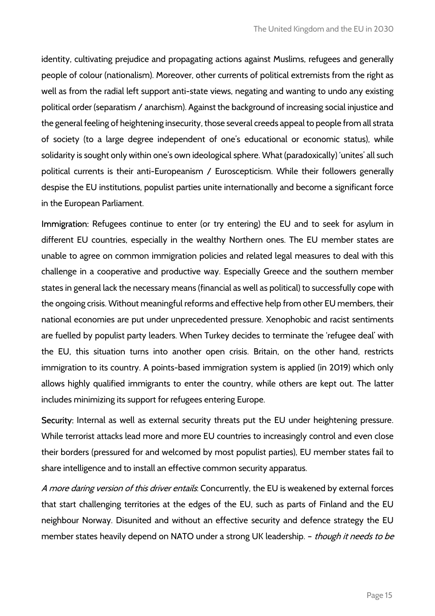identity, cultivating prejudice and propagating actions against Muslims, refugees and generally people of colour (nationalism). Moreover, other currents of political extremists from the right as well as from the radial left support anti-state views, negating and wanting to undo any existing political order (separatism / anarchism). Against the background of increasing social injustice and the general feeling of heightening insecurity, those several creeds appeal to people from all strata of society (to a large degree independent of one's educational or economic status), while solidarity is sought only within one's own ideological sphere. What (paradoxically) 'unites' all such political currents is their anti-Europeanism / Euroscepticism. While their followers generally despise the EU institutions, populist parties unite internationally and become a significant force in the European Parliament.

Immigration: Refugees continue to enter (or try entering) the EU and to seek for asylum in different EU countries, especially in the wealthy Northern ones. The EU member states are unable to agree on common immigration policies and related legal measures to deal with this challenge in a cooperative and productive way. Especially Greece and the southern member states in general lack the necessary means (financial as well as political) to successfully cope with the ongoing crisis. Without meaningful reforms and effective help from other EU members, their national economies are put under unprecedented pressure. Xenophobic and racist sentiments are fuelled by populist party leaders. When Turkey decides to terminate the 'refugee deal' with the EU, this situation turns into another open crisis. Britain, on the other hand, restricts immigration to its country. A points-based immigration system is applied (in 2019) which only allows highly qualified immigrants to enter the country, while others are kept out. The latter includes minimizing its support for refugees entering Europe.

Security: Internal as well as external security threats put the EU under heightening pressure. While terrorist attacks lead more and more EU countries to increasingly control and even close their borders (pressured for and welcomed by most populist parties), EU member states fail to share intelligence and to install an effective common security apparatus.

A more daring version of this driver entails. Concurrently, the EU is weakened by external forces that start challenging territories at the edges of the EU, such as parts of Finland and the EU neighbour Norway. Disunited and without an effective security and defence strategy the EU member states heavily depend on NATO under a strong UK leadership. - *though it needs to be*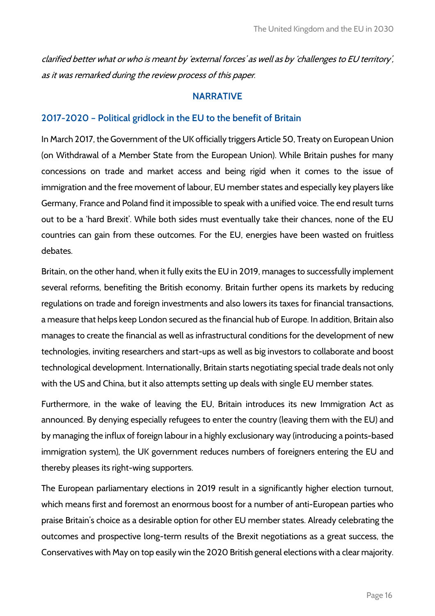clarified better what or who is meant by 'external forces' as well as by 'challenges to EU territory', as it was remarked during the review process of this paper.

#### NARRATIVE

#### 2017-2020 – Political gridlock in the EU to the benefit of Britain

In March 2017, the Government of the UK officially triggers Article 50, Treaty on European Union (on Withdrawal of a Member State from the European Union). While Britain pushes for many concessions on trade and market access and being rigid when it comes to the issue of immigration and the free movement of labour, EU member states and especially key players like Germany, France and Poland find it impossible to speak with a unified voice. The end result turns out to be a 'hard Brexit'. While both sides must eventually take their chances, none of the EU countries can gain from these outcomes. For the EU, energies have been wasted on fruitless debates.

Britain, on the other hand, when it fully exits the EU in 2019, manages to successfully implement several reforms, benefiting the British economy. Britain further opens its markets by reducing regulations on trade and foreign investments and also lowers its taxes for financial transactions, a measure that helps keep London secured as the financial hub of Europe. In addition, Britain also manages to create the financial as well as infrastructural conditions for the development of new technologies, inviting researchers and start-ups as well as big investors to collaborate and boost technological development. Internationally, Britain starts negotiating special trade deals not only with the US and China, but it also attempts setting up deals with single EU member states.

Furthermore, in the wake of leaving the EU, Britain introduces its new Immigration Act as announced. By denying especially refugees to enter the country (leaving them with the EU) and by managing the influx of foreign labour in a highly exclusionary way (introducing a points-based immigration system), the UK government reduces numbers of foreigners entering the EU and thereby pleases its right-wing supporters.

The European parliamentary elections in 2019 result in a significantly higher election turnout, which means first and foremost an enormous boost for a number of anti-European parties who praise Britain's choice as a desirable option for other EU member states. Already celebrating the outcomes and prospective long-term results of the Brexit negotiations as a great success, the Conservatives with May on top easily win the 2020 British general elections with a clear majority.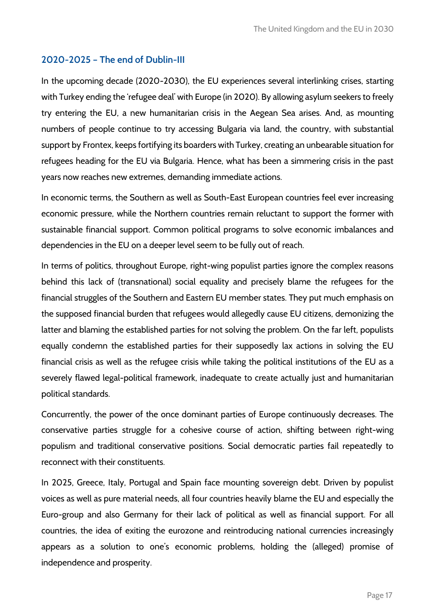# 2020-2025 – The end of Dublin-III

In the upcoming decade (2020-2030), the EU experiences several interlinking crises, starting with Turkey ending the 'refugee deal' with Europe (in 2020). By allowing asylum seekers to freely try entering the EU, a new humanitarian crisis in the Aegean Sea arises. And, as mounting numbers of people continue to try accessing Bulgaria via land, the country, with substantial support by Frontex, keeps fortifying its boarders with Turkey, creating an unbearable situation for refugees heading for the EU via Bulgaria. Hence, what has been a simmering crisis in the past years now reaches new extremes, demanding immediate actions.

In economic terms, the Southern as well as South-East European countries feel ever increasing economic pressure, while the Northern countries remain reluctant to support the former with sustainable financial support. Common political programs to solve economic imbalances and dependencies in the EU on a deeper level seem to be fully out of reach.

In terms of politics, throughout Europe, right-wing populist parties ignore the complex reasons behind this lack of (transnational) social equality and precisely blame the refugees for the financial struggles of the Southern and Eastern EU member states. They put much emphasis on the supposed financial burden that refugees would allegedly cause EU citizens, demonizing the latter and blaming the established parties for not solving the problem. On the far left, populists equally condemn the established parties for their supposedly lax actions in solving the EU financial crisis as well as the refugee crisis while taking the political institutions of the EU as a severely flawed legal-political framework, inadequate to create actually just and humanitarian political standards.

Concurrently, the power of the once dominant parties of Europe continuously decreases. The conservative parties struggle for a cohesive course of action, shifting between right-wing populism and traditional conservative positions. Social democratic parties fail repeatedly to reconnect with their constituents.

In 2025, Greece, Italy, Portugal and Spain face mounting sovereign debt. Driven by populist voices as well as pure material needs, all four countries heavily blame the EU and especially the Euro-group and also Germany for their lack of political as well as financial support. For all countries, the idea of exiting the eurozone and reintroducing national currencies increasingly appears as a solution to one's economic problems, holding the (alleged) promise of independence and prosperity.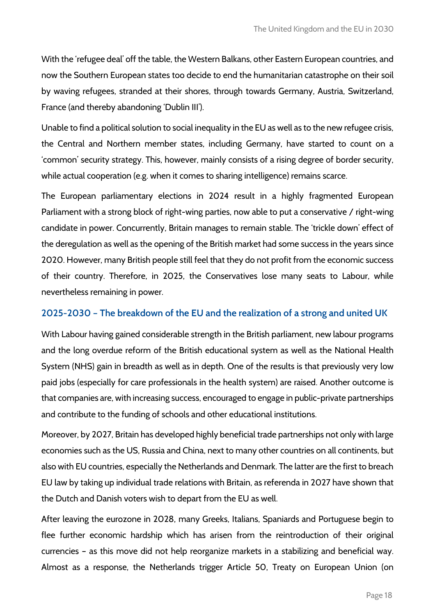With the 'refugee deal' off the table, the Western Balkans, other Eastern European countries, and now the Southern European states too decide to end the humanitarian catastrophe on their soil by waving refugees, stranded at their shores, through towards Germany, Austria, Switzerland, France (and thereby abandoning 'Dublin III').

Unable to find a political solution to social inequality in the EU as well as to the new refugee crisis, the Central and Northern member states, including Germany, have started to count on a 'common' security strategy. This, however, mainly consists of a rising degree of border security, while actual cooperation (e.g. when it comes to sharing intelligence) remains scarce.

The European parliamentary elections in 2024 result in a highly fragmented European Parliament with a strong block of right-wing parties, now able to put a conservative / right-wing candidate in power. Concurrently, Britain manages to remain stable. The 'trickle down' effect of the deregulation as well as the opening of the British market had some success in the years since 2020. However, many British people still feel that they do not profit from the economic success of their country. Therefore, in 2025, the Conservatives lose many seats to Labour, while nevertheless remaining in power.

# 2025-2030 – The breakdown of the EU and the realization of a strong and united UK

With Labour having gained considerable strength in the British parliament, new labour programs and the long overdue reform of the British educational system as well as the National Health System (NHS) gain in breadth as well as in depth. One of the results is that previously very low paid jobs (especially for care professionals in the health system) are raised. Another outcome is that companies are, with increasing success, encouraged to engage in public-private partnerships and contribute to the funding of schools and other educational institutions.

Moreover, by 2027, Britain has developed highly beneficial trade partnerships not only with large economies such as the US, Russia and China, next to many other countries on all continents, but also with EU countries, especially the Netherlands and Denmark. The latter are the first to breach EU law by taking up individual trade relations with Britain, as referenda in 2027 have shown that the Dutch and Danish voters wish to depart from the EU as well.

After leaving the eurozone in 2028, many Greeks, Italians, Spaniards and Portuguese begin to flee further economic hardship which has arisen from the reintroduction of their original currencies – as this move did not help reorganize markets in a stabilizing and beneficial way. Almost as a response, the Netherlands trigger Article 50, Treaty on European Union (on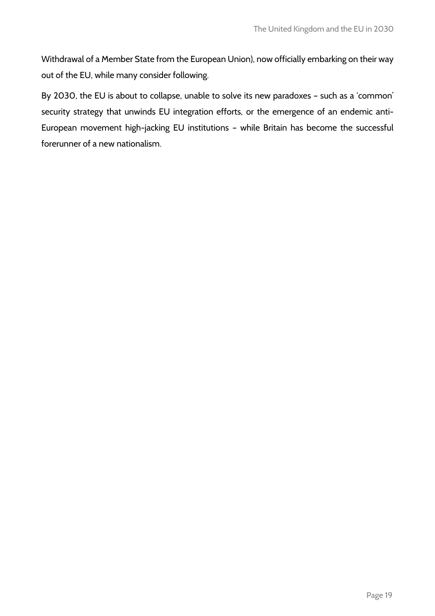Withdrawal of a Member State from the European Union), now officially embarking on their way out of the EU, while many consider following.

By 2030, the EU is about to collapse, unable to solve its new paradoxes – such as a 'common' security strategy that unwinds EU integration efforts, or the emergence of an endemic anti-European movement high-jacking EU institutions – while Britain has become the successful forerunner of a new nationalism.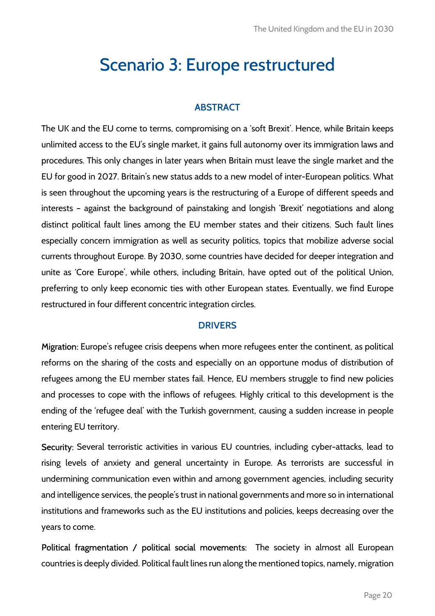# Scenario 3: Europe restructured

# ABSTRACT

The UK and the EU come to terms, compromising on a 'soft Brexit'. Hence, while Britain keeps unlimited access to the EU's single market, it gains full autonomy over its immigration laws and procedures. This only changes in later years when Britain must leave the single market and the EU for good in 2027. Britain's new status adds to a new model of inter-European politics. What is seen throughout the upcoming years is the restructuring of a Europe of different speeds and interests – against the background of painstaking and longish 'Brexit' negotiations and along distinct political fault lines among the EU member states and their citizens. Such fault lines especially concern immigration as well as security politics, topics that mobilize adverse social currents throughout Europe. By 2030, some countries have decided for deeper integration and unite as 'Core Europe', while others, including Britain, have opted out of the political Union, preferring to only keep economic ties with other European states. Eventually, we find Europe restructured in four different concentric integration circles.

# **DRIVERS**

Migration: Europe's refugee crisis deepens when more refugees enter the continent, as political reforms on the sharing of the costs and especially on an opportune modus of distribution of refugees among the EU member states fail. Hence, EU members struggle to find new policies and processes to cope with the inflows of refugees. Highly critical to this development is the ending of the 'refugee deal' with the Turkish government, causing a sudden increase in people entering EU territory.

Security: Several terroristic activities in various EU countries, including cyber-attacks, lead to rising levels of anxiety and general uncertainty in Europe. As terrorists are successful in undermining communication even within and among government agencies, including security and intelligence services, the people's trust in national governments and more so in international institutions and frameworks such as the EU institutions and policies, keeps decreasing over the years to come.

Political fragmentation / political social movements: The society in almost all European countries is deeply divided. Political fault lines run along the mentioned topics, namely, migration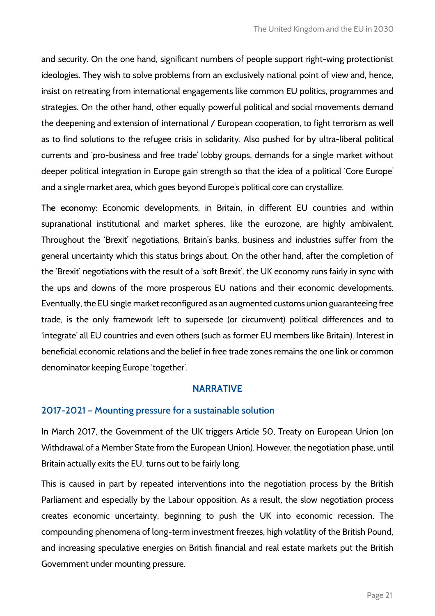and security. On the one hand, significant numbers of people support right-wing protectionist ideologies. They wish to solve problems from an exclusively national point of view and, hence, insist on retreating from international engagements like common EU politics, programmes and strategies. On the other hand, other equally powerful political and social movements demand the deepening and extension of international / European cooperation, to fight terrorism as well as to find solutions to the refugee crisis in solidarity. Also pushed for by ultra-liberal political currents and 'pro-business and free trade' lobby groups, demands for a single market without deeper political integration in Europe gain strength so that the idea of a political 'Core Europe' and a single market area, which goes beyond Europe's political core can crystallize.

The economy: Economic developments, in Britain, in different EU countries and within supranational institutional and market spheres, like the eurozone, are highly ambivalent. Throughout the 'Brexit' negotiations, Britain's banks, business and industries suffer from the general uncertainty which this status brings about. On the other hand, after the completion of the 'Brexit' negotiations with the result of a 'soft Brexit', the UK economy runs fairly in sync with the ups and downs of the more prosperous EU nations and their economic developments. Eventually, the EU single market reconfigured as an augmented customs union guaranteeing free trade, is the only framework left to supersede (or circumvent) political differences and to 'integrate' all EU countries and even others (such as former EU members like Britain). Interest in beneficial economic relations and the belief in free trade zones remains the one link or common denominator keeping Europe 'together'.

#### NARRATIVE

#### 2017-2021 – Mounting pressure for a sustainable solution

In March 2017, the Government of the UK triggers Article 50, Treaty on European Union (on Withdrawal of a Member State from the European Union). However, the negotiation phase, until Britain actually exits the EU, turns out to be fairly long.

This is caused in part by repeated interventions into the negotiation process by the British Parliament and especially by the Labour opposition. As a result, the slow negotiation process creates economic uncertainty, beginning to push the UK into economic recession. The compounding phenomena of long-term investment freezes, high volatility of the British Pound, and increasing speculative energies on British financial and real estate markets put the British Government under mounting pressure.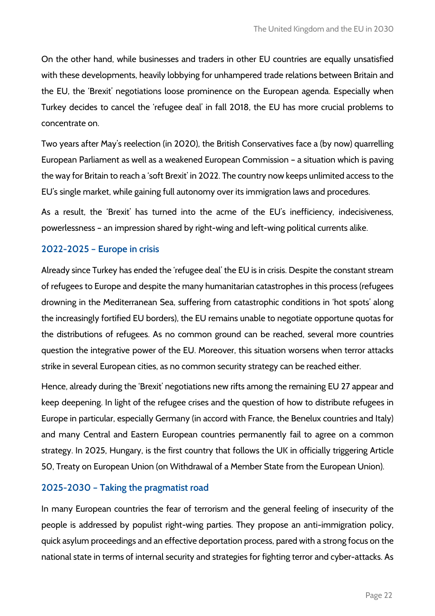On the other hand, while businesses and traders in other EU countries are equally unsatisfied with these developments, heavily lobbying for unhampered trade relations between Britain and the EU, the 'Brexit' negotiations loose prominence on the European agenda. Especially when Turkey decides to cancel the 'refugee deal' in fall 2018, the EU has more crucial problems to concentrate on.

Two years after May's reelection (in 2020), the British Conservatives face a (by now) quarrelling European Parliament as well as a weakened European Commission – a situation which is paving the way for Britain to reach a 'soft Brexit' in 2022. The country now keeps unlimited access to the EU's single market, while gaining full autonomy over its immigration laws and procedures.

As a result, the 'Brexit' has turned into the acme of the EU's inefficiency, indecisiveness, powerlessness – an impression shared by right-wing and left-wing political currents alike.

# 2022-2025 – Europe in crisis

Already since Turkey has ended the 'refugee deal' the EU is in crisis. Despite the constant stream of refugees to Europe and despite the many humanitarian catastrophes in this process (refugees drowning in the Mediterranean Sea, suffering from catastrophic conditions in 'hot spots' along the increasingly fortified EU borders), the EU remains unable to negotiate opportune quotas for the distributions of refugees. As no common ground can be reached, several more countries question the integrative power of the EU. Moreover, this situation worsens when terror attacks strike in several European cities, as no common security strategy can be reached either.

Hence, already during the 'Brexit' negotiations new rifts among the remaining EU 27 appear and keep deepening. In light of the refugee crises and the question of how to distribute refugees in Europe in particular, especially Germany (in accord with France, the Benelux countries and Italy) and many Central and Eastern European countries permanently fail to agree on a common strategy. In 2025, Hungary, is the first country that follows the UK in officially triggering Article 50, Treaty on European Union (on Withdrawal of a Member State from the European Union).

# 2025-2030 – Taking the pragmatist road

In many European countries the fear of terrorism and the general feeling of insecurity of the people is addressed by populist right-wing parties. They propose an anti-immigration policy, quick asylum proceedings and an effective deportation process, pared with a strong focus on the national state in terms of internal security and strategies for fighting terror and cyber-attacks. As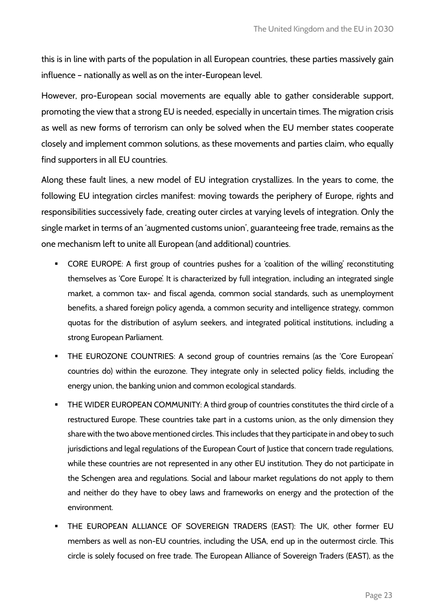this is in line with parts of the population in all European countries, these parties massively gain influence – nationally as well as on the inter-European level.

However, pro-European social movements are equally able to gather considerable support, promoting the view that a strong EU is needed, especially in uncertain times. The migration crisis as well as new forms of terrorism can only be solved when the EU member states cooperate closely and implement common solutions, as these movements and parties claim, who equally find supporters in all EU countries.

Along these fault lines, a new model of EU integration crystallizes. In the years to come, the following EU integration circles manifest: moving towards the periphery of Europe, rights and responsibilities successively fade, creating outer circles at varying levels of integration. Only the single market in terms of an 'augmented customs union', guaranteeing free trade, remains as the one mechanism left to unite all European (and additional) countries.

- - CORE EUROPE: A first group of countries pushes for a 'coalition of the willing' reconstituting themselves as 'Core Europe'. It is characterized by full integration, including an integrated single market, a common tax- and fiscal agenda, common social standards, such as unemployment benefits, a shared foreign policy agenda, a common security and intelligence strategy, common quotas for the distribution of asylum seekers, and integrated political institutions, including a strong European Parliament.
- - THE EUROZONE COUNTRIES: A second group of countries remains (as the 'Core European' countries do) within the eurozone. They integrate only in selected policy fields, including the energy union, the banking union and common ecological standards.
- - THE WIDER EUROPEAN COMMUNITY: A third group of countries constitutes the third circle of a restructured Europe. These countries take part in a customs union, as the only dimension they share with the two above mentioned circles. This includes that they participate in and obey to such jurisdictions and legal regulations of the European Court of Justice that concern trade regulations, while these countries are not represented in any other EU institution. They do not participate in the Schengen area and regulations. Social and labour market regulations do not apply to them and neither do they have to obey laws and frameworks on energy and the protection of the environment.
- **THE EUROPEAN ALLIANCE OF SOVEREIGN TRADERS (EAST): The UK, other former EU** members as well as non-EU countries, including the USA, end up in the outermost circle. This circle is solely focused on free trade. The European Alliance of Sovereign Traders (EAST), as the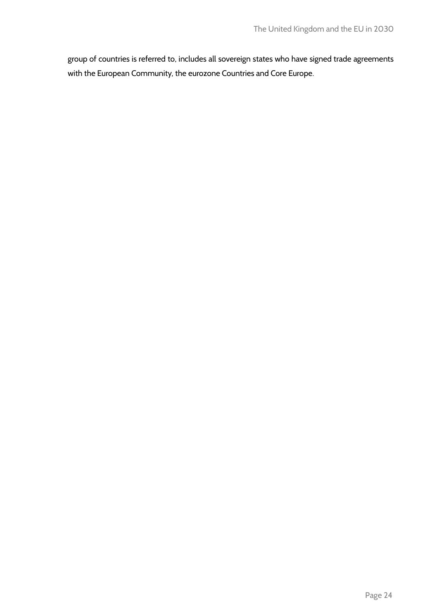group of countries is referred to, includes all sovereign states who have signed trade agreements with the European Community, the eurozone Countries and Core Europe.